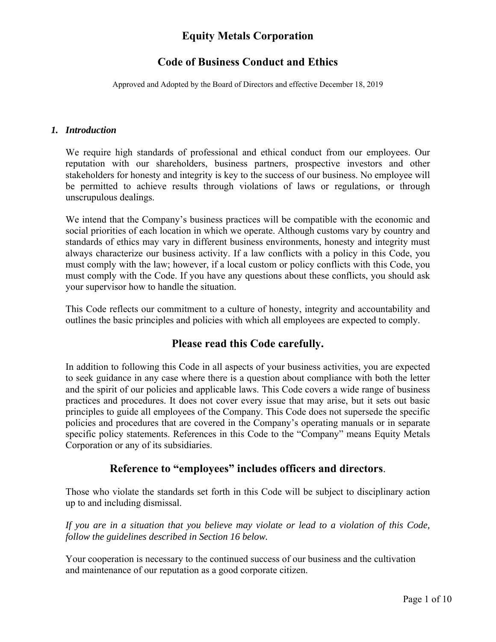### **Code of Business Conduct and Ethics**

Approved and Adopted by the Board of Directors and effective December 18, 2019

#### *1. Introduction*

We require high standards of professional and ethical conduct from our employees. Our reputation with our shareholders, business partners, prospective investors and other stakeholders for honesty and integrity is key to the success of our business. No employee will be permitted to achieve results through violations of laws or regulations, or through unscrupulous dealings.

We intend that the Company's business practices will be compatible with the economic and social priorities of each location in which we operate. Although customs vary by country and standards of ethics may vary in different business environments, honesty and integrity must always characterize our business activity. If a law conflicts with a policy in this Code, you must comply with the law; however, if a local custom or policy conflicts with this Code, you must comply with the Code. If you have any questions about these conflicts, you should ask your supervisor how to handle the situation.

This Code reflects our commitment to a culture of honesty, integrity and accountability and outlines the basic principles and policies with which all employees are expected to comply.

### **Please read this Code carefully.**

In addition to following this Code in all aspects of your business activities, you are expected to seek guidance in any case where there is a question about compliance with both the letter and the spirit of our policies and applicable laws. This Code covers a wide range of business practices and procedures. It does not cover every issue that may arise, but it sets out basic principles to guide all employees of the Company. This Code does not supersede the specific policies and procedures that are covered in the Company's operating manuals or in separate specific policy statements. References in this Code to the "Company" means Equity Metals Corporation or any of its subsidiaries.

### **Reference to "employees" includes officers and directors**.

Those who violate the standards set forth in this Code will be subject to disciplinary action up to and including dismissal.

*If you are in a situation that you believe may violate or lead to a violation of this Code, follow the guidelines described in Section 16 below.* 

Your cooperation is necessary to the continued success of our business and the cultivation and maintenance of our reputation as a good corporate citizen.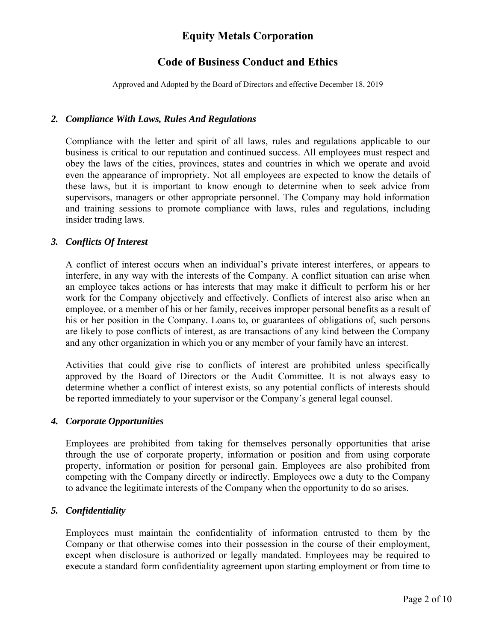### **Code of Business Conduct and Ethics**

Approved and Adopted by the Board of Directors and effective December 18, 2019

#### *2. Compliance With Laws, Rules And Regulations*

Compliance with the letter and spirit of all laws, rules and regulations applicable to our business is critical to our reputation and continued success. All employees must respect and obey the laws of the cities, provinces, states and countries in which we operate and avoid even the appearance of impropriety. Not all employees are expected to know the details of these laws, but it is important to know enough to determine when to seek advice from supervisors, managers or other appropriate personnel. The Company may hold information and training sessions to promote compliance with laws, rules and regulations, including insider trading laws.

#### *3. Conflicts Of Interest*

A conflict of interest occurs when an individual's private interest interferes, or appears to interfere, in any way with the interests of the Company. A conflict situation can arise when an employee takes actions or has interests that may make it difficult to perform his or her work for the Company objectively and effectively. Conflicts of interest also arise when an employee, or a member of his or her family, receives improper personal benefits as a result of his or her position in the Company. Loans to, or guarantees of obligations of, such persons are likely to pose conflicts of interest, as are transactions of any kind between the Company and any other organization in which you or any member of your family have an interest.

Activities that could give rise to conflicts of interest are prohibited unless specifically approved by the Board of Directors or the Audit Committee. It is not always easy to determine whether a conflict of interest exists, so any potential conflicts of interests should be reported immediately to your supervisor or the Company's general legal counsel.

#### *4. Corporate Opportunities*

Employees are prohibited from taking for themselves personally opportunities that arise through the use of corporate property, information or position and from using corporate property, information or position for personal gain. Employees are also prohibited from competing with the Company directly or indirectly. Employees owe a duty to the Company to advance the legitimate interests of the Company when the opportunity to do so arises.

#### *5. Confidentiality*

Employees must maintain the confidentiality of information entrusted to them by the Company or that otherwise comes into their possession in the course of their employment, except when disclosure is authorized or legally mandated. Employees may be required to execute a standard form confidentiality agreement upon starting employment or from time to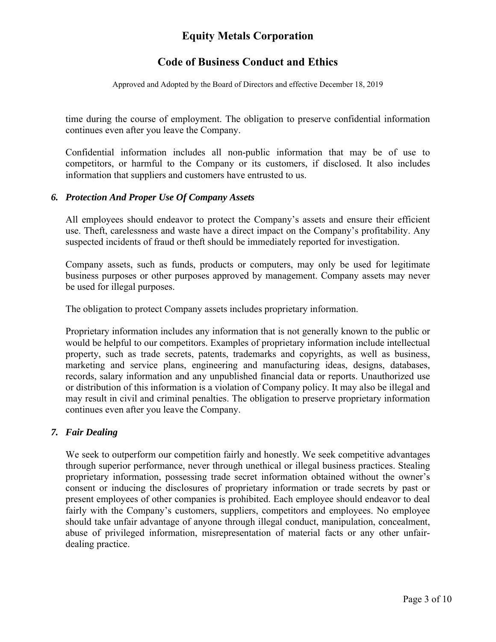# **Code of Business Conduct and Ethics**

Approved and Adopted by the Board of Directors and effective December 18, 2019

time during the course of employment. The obligation to preserve confidential information continues even after you leave the Company.

Confidential information includes all non-public information that may be of use to competitors, or harmful to the Company or its customers, if disclosed. It also includes information that suppliers and customers have entrusted to us.

#### *6. Protection And Proper Use Of Company Assets*

All employees should endeavor to protect the Company's assets and ensure their efficient use. Theft, carelessness and waste have a direct impact on the Company's profitability. Any suspected incidents of fraud or theft should be immediately reported for investigation.

Company assets, such as funds, products or computers, may only be used for legitimate business purposes or other purposes approved by management. Company assets may never be used for illegal purposes.

The obligation to protect Company assets includes proprietary information.

Proprietary information includes any information that is not generally known to the public or would be helpful to our competitors. Examples of proprietary information include intellectual property, such as trade secrets, patents, trademarks and copyrights, as well as business, marketing and service plans, engineering and manufacturing ideas, designs, databases, records, salary information and any unpublished financial data or reports. Unauthorized use or distribution of this information is a violation of Company policy. It may also be illegal and may result in civil and criminal penalties. The obligation to preserve proprietary information continues even after you leave the Company.

### *7. Fair Dealing*

We seek to outperform our competition fairly and honestly. We seek competitive advantages through superior performance, never through unethical or illegal business practices. Stealing proprietary information, possessing trade secret information obtained without the owner's consent or inducing the disclosures of proprietary information or trade secrets by past or present employees of other companies is prohibited. Each employee should endeavor to deal fairly with the Company's customers, suppliers, competitors and employees. No employee should take unfair advantage of anyone through illegal conduct, manipulation, concealment, abuse of privileged information, misrepresentation of material facts or any other unfairdealing practice.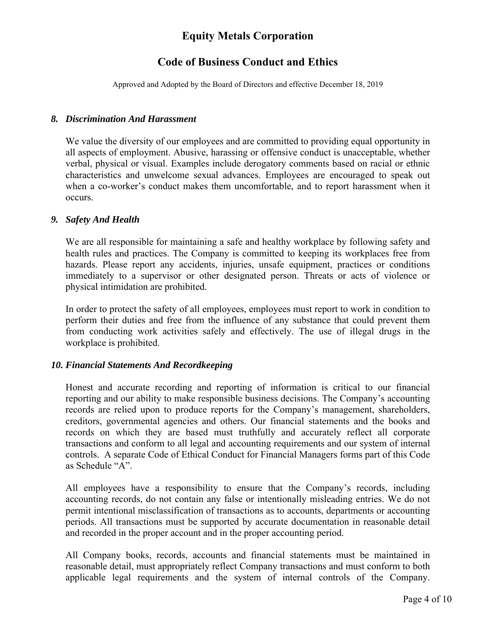# **Code of Business Conduct and Ethics**

Approved and Adopted by the Board of Directors and effective December 18, 2019

#### *8. Discrimination And Harassment*

We value the diversity of our employees and are committed to providing equal opportunity in all aspects of employment. Abusive, harassing or offensive conduct is unacceptable, whether verbal, physical or visual. Examples include derogatory comments based on racial or ethnic characteristics and unwelcome sexual advances. Employees are encouraged to speak out when a co-worker's conduct makes them uncomfortable, and to report harassment when it occurs.

### *9. Safety And Health*

We are all responsible for maintaining a safe and healthy workplace by following safety and health rules and practices. The Company is committed to keeping its workplaces free from hazards. Please report any accidents, injuries, unsafe equipment, practices or conditions immediately to a supervisor or other designated person. Threats or acts of violence or physical intimidation are prohibited.

In order to protect the safety of all employees, employees must report to work in condition to perform their duties and free from the influence of any substance that could prevent them from conducting work activities safely and effectively. The use of illegal drugs in the workplace is prohibited.

### *10. Financial Statements And Recordkeeping*

Honest and accurate recording and reporting of information is critical to our financial reporting and our ability to make responsible business decisions. The Company's accounting records are relied upon to produce reports for the Company's management, shareholders, creditors, governmental agencies and others. Our financial statements and the books and records on which they are based must truthfully and accurately reflect all corporate transactions and conform to all legal and accounting requirements and our system of internal controls. A separate Code of Ethical Conduct for Financial Managers forms part of this Code as Schedule "A".

All employees have a responsibility to ensure that the Company's records, including accounting records, do not contain any false or intentionally misleading entries. We do not permit intentional misclassification of transactions as to accounts, departments or accounting periods. All transactions must be supported by accurate documentation in reasonable detail and recorded in the proper account and in the proper accounting period.

All Company books, records, accounts and financial statements must be maintained in reasonable detail, must appropriately reflect Company transactions and must conform to both applicable legal requirements and the system of internal controls of the Company.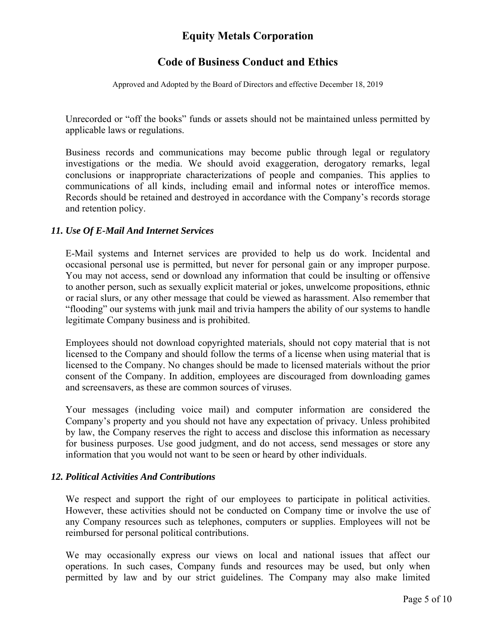# **Code of Business Conduct and Ethics**

Approved and Adopted by the Board of Directors and effective December 18, 2019

Unrecorded or "off the books" funds or assets should not be maintained unless permitted by applicable laws or regulations.

Business records and communications may become public through legal or regulatory investigations or the media. We should avoid exaggeration, derogatory remarks, legal conclusions or inappropriate characterizations of people and companies. This applies to communications of all kinds, including email and informal notes or interoffice memos. Records should be retained and destroyed in accordance with the Company's records storage and retention policy.

#### *11. Use Of E-Mail And Internet Services*

E-Mail systems and Internet services are provided to help us do work. Incidental and occasional personal use is permitted, but never for personal gain or any improper purpose. You may not access, send or download any information that could be insulting or offensive to another person, such as sexually explicit material or jokes, unwelcome propositions, ethnic or racial slurs, or any other message that could be viewed as harassment. Also remember that "flooding" our systems with junk mail and trivia hampers the ability of our systems to handle legitimate Company business and is prohibited.

Employees should not download copyrighted materials, should not copy material that is not licensed to the Company and should follow the terms of a license when using material that is licensed to the Company. No changes should be made to licensed materials without the prior consent of the Company. In addition, employees are discouraged from downloading games and screensavers, as these are common sources of viruses.

Your messages (including voice mail) and computer information are considered the Company's property and you should not have any expectation of privacy. Unless prohibited by law, the Company reserves the right to access and disclose this information as necessary for business purposes. Use good judgment, and do not access, send messages or store any information that you would not want to be seen or heard by other individuals.

### *12. Political Activities And Contributions*

We respect and support the right of our employees to participate in political activities. However, these activities should not be conducted on Company time or involve the use of any Company resources such as telephones, computers or supplies. Employees will not be reimbursed for personal political contributions.

We may occasionally express our views on local and national issues that affect our operations. In such cases, Company funds and resources may be used, but only when permitted by law and by our strict guidelines. The Company may also make limited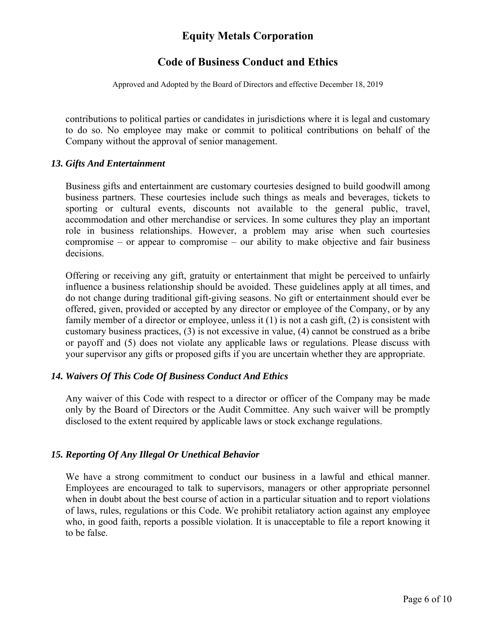### **Code of Business Conduct and Ethics**

Approved and Adopted by the Board of Directors and effective December 18, 2019

contributions to political parties or candidates in jurisdictions where it is legal and customary to do so. No employee may make or commit to political contributions on behalf of the Company without the approval of senior management.

#### *13. Gifts And Entertainment*

Business gifts and entertainment are customary courtesies designed to build goodwill among business partners. These courtesies include such things as meals and beverages, tickets to sporting or cultural events, discounts not available to the general public, travel, accommodation and other merchandise or services. In some cultures they play an important role in business relationships. However, a problem may arise when such courtesies compromise – or appear to compromise – our ability to make objective and fair business decisions.

Offering or receiving any gift, gratuity or entertainment that might be perceived to unfairly influence a business relationship should be avoided. These guidelines apply at all times, and do not change during traditional gift-giving seasons. No gift or entertainment should ever be offered, given, provided or accepted by any director or employee of the Company, or by any family member of a director or employee, unless it (1) is not a cash gift, (2) is consistent with customary business practices, (3) is not excessive in value, (4) cannot be construed as a bribe or payoff and (5) does not violate any applicable laws or regulations. Please discuss with your supervisor any gifts or proposed gifts if you are uncertain whether they are appropriate.

#### *14. Waivers Of This Code Of Business Conduct And Ethics*

Any waiver of this Code with respect to a director or officer of the Company may be made only by the Board of Directors or the Audit Committee. Any such waiver will be promptly disclosed to the extent required by applicable laws or stock exchange regulations.

#### *15. Reporting Of Any Illegal Or Unethical Behavior*

We have a strong commitment to conduct our business in a lawful and ethical manner. Employees are encouraged to talk to supervisors, managers or other appropriate personnel when in doubt about the best course of action in a particular situation and to report violations of laws, rules, regulations or this Code. We prohibit retaliatory action against any employee who, in good faith, reports a possible violation. It is unacceptable to file a report knowing it to be false.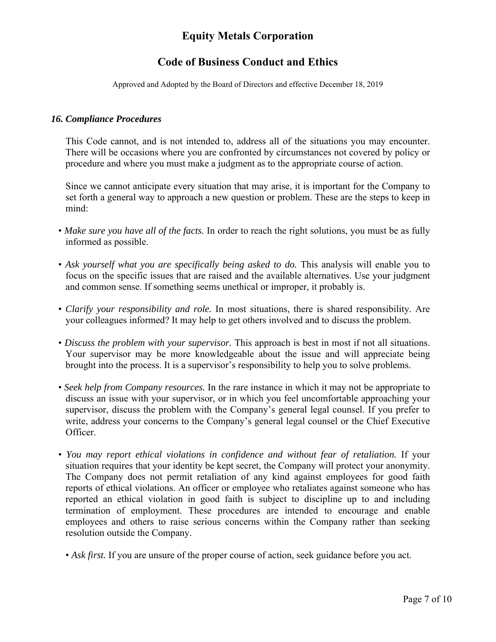# **Code of Business Conduct and Ethics**

Approved and Adopted by the Board of Directors and effective December 18, 2019

#### *16. Compliance Procedures*

This Code cannot, and is not intended to, address all of the situations you may encounter. There will be occasions where you are confronted by circumstances not covered by policy or procedure and where you must make a judgment as to the appropriate course of action.

Since we cannot anticipate every situation that may arise, it is important for the Company to set forth a general way to approach a new question or problem. These are the steps to keep in mind:

- *Make sure you have all of the facts.* In order to reach the right solutions, you must be as fully informed as possible.
- Ask yourself what you are specifically being asked to do. This analysis will enable you to focus on the specific issues that are raised and the available alternatives. Use your judgment and common sense. If something seems unethical or improper, it probably is.
- *Clarify your responsibility and role.* In most situations, there is shared responsibility. Are your colleagues informed? It may help to get others involved and to discuss the problem.
- *Discuss the problem with your supervisor.* This approach is best in most if not all situations. Your supervisor may be more knowledgeable about the issue and will appreciate being brought into the process. It is a supervisor's responsibility to help you to solve problems.
- *Seek help from Company resources.* In the rare instance in which it may not be appropriate to discuss an issue with your supervisor, or in which you feel uncomfortable approaching your supervisor, discuss the problem with the Company's general legal counsel. If you prefer to write, address your concerns to the Company's general legal counsel or the Chief Executive Officer.
- You may report ethical violations in confidence and without fear of retaliation. If your situation requires that your identity be kept secret, the Company will protect your anonymity. The Company does not permit retaliation of any kind against employees for good faith reports of ethical violations. An officer or employee who retaliates against someone who has reported an ethical violation in good faith is subject to discipline up to and including termination of employment. These procedures are intended to encourage and enable employees and others to raise serious concerns within the Company rather than seeking resolution outside the Company.
	- *Ask first*. If you are unsure of the proper course of action, seek guidance before you act.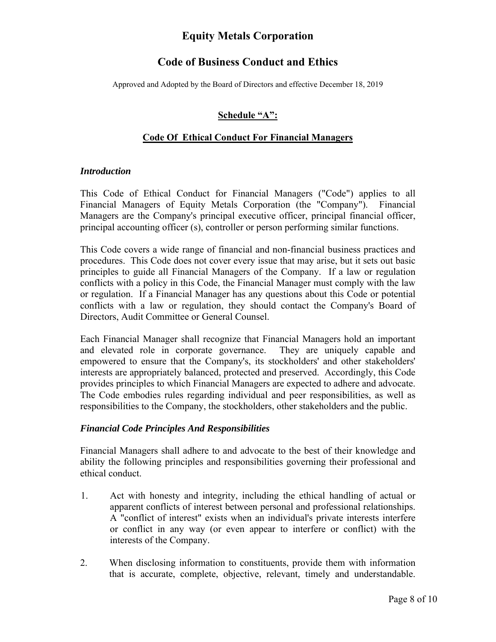### **Code of Business Conduct and Ethics**

Approved and Adopted by the Board of Directors and effective December 18, 2019

### **Schedule "A":**

#### **Code Of Ethical Conduct For Financial Managers**

#### *Introduction*

This Code of Ethical Conduct for Financial Managers ("Code") applies to all Financial Managers of Equity Metals Corporation (the "Company"). Financial Managers are the Company's principal executive officer, principal financial officer, principal accounting officer (s), controller or person performing similar functions.

This Code covers a wide range of financial and non-financial business practices and procedures. This Code does not cover every issue that may arise, but it sets out basic principles to guide all Financial Managers of the Company. If a law or regulation conflicts with a policy in this Code, the Financial Manager must comply with the law or regulation. If a Financial Manager has any questions about this Code or potential conflicts with a law or regulation, they should contact the Company's Board of Directors, Audit Committee or General Counsel.

Each Financial Manager shall recognize that Financial Managers hold an important and elevated role in corporate governance. They are uniquely capable and empowered to ensure that the Company's, its stockholders' and other stakeholders' interests are appropriately balanced, protected and preserved. Accordingly, this Code provides principles to which Financial Managers are expected to adhere and advocate. The Code embodies rules regarding individual and peer responsibilities, as well as responsibilities to the Company, the stockholders, other stakeholders and the public.

#### *Financial Code Principles And Responsibilities*

Financial Managers shall adhere to and advocate to the best of their knowledge and ability the following principles and responsibilities governing their professional and ethical conduct.

- 1. Act with honesty and integrity, including the ethical handling of actual or apparent conflicts of interest between personal and professional relationships. A "conflict of interest" exists when an individual's private interests interfere or conflict in any way (or even appear to interfere or conflict) with the interests of the Company.
- 2. When disclosing information to constituents, provide them with information that is accurate, complete, objective, relevant, timely and understandable.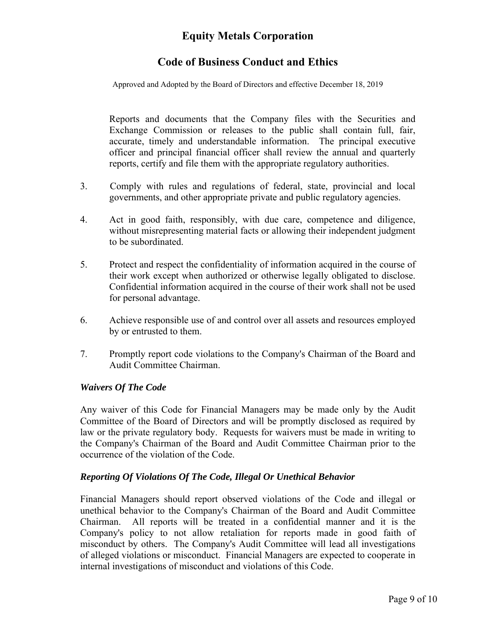# **Code of Business Conduct and Ethics**

Approved and Adopted by the Board of Directors and effective December 18, 2019

Reports and documents that the Company files with the Securities and Exchange Commission or releases to the public shall contain full, fair, accurate, timely and understandable information. The principal executive officer and principal financial officer shall review the annual and quarterly reports, certify and file them with the appropriate regulatory authorities.

- 3. Comply with rules and regulations of federal, state, provincial and local governments, and other appropriate private and public regulatory agencies.
- 4. Act in good faith, responsibly, with due care, competence and diligence, without misrepresenting material facts or allowing their independent judgment to be subordinated.
- 5. Protect and respect the confidentiality of information acquired in the course of their work except when authorized or otherwise legally obligated to disclose. Confidential information acquired in the course of their work shall not be used for personal advantage.
- 6. Achieve responsible use of and control over all assets and resources employed by or entrusted to them.
- 7. Promptly report code violations to the Company's Chairman of the Board and Audit Committee Chairman.

#### *Waivers Of The Code*

Any waiver of this Code for Financial Managers may be made only by the Audit Committee of the Board of Directors and will be promptly disclosed as required by law or the private regulatory body. Requests for waivers must be made in writing to the Company's Chairman of the Board and Audit Committee Chairman prior to the occurrence of the violation of the Code.

### *Reporting Of Violations Of The Code, Illegal Or Unethical Behavior*

Financial Managers should report observed violations of the Code and illegal or unethical behavior to the Company's Chairman of the Board and Audit Committee Chairman. All reports will be treated in a confidential manner and it is the Company's policy to not allow retaliation for reports made in good faith of misconduct by others. The Company's Audit Committee will lead all investigations of alleged violations or misconduct. Financial Managers are expected to cooperate in internal investigations of misconduct and violations of this Code.